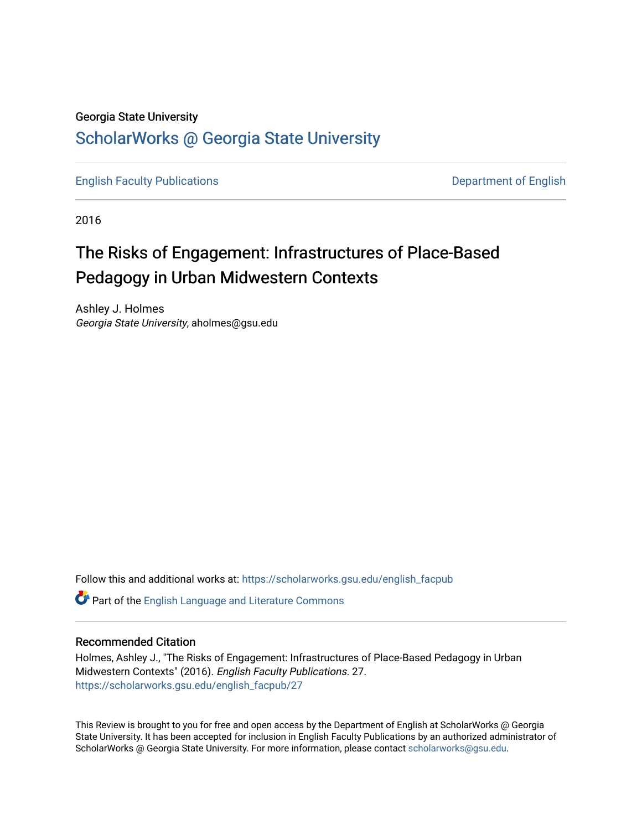#### Georgia State University

## [ScholarWorks @ Georgia State University](https://scholarworks.gsu.edu/)

[English Faculty Publications](https://scholarworks.gsu.edu/english_facpub) **Department of English** 

2016

## The Risks of Engagement: Infrastructures of Place-Based Pedagogy in Urban Midwestern Contexts

Ashley J. Holmes Georgia State University, aholmes@gsu.edu

Follow this and additional works at: [https://scholarworks.gsu.edu/english\\_facpub](https://scholarworks.gsu.edu/english_facpub?utm_source=scholarworks.gsu.edu%2Fenglish_facpub%2F27&utm_medium=PDF&utm_campaign=PDFCoverPages)

Part of the [English Language and Literature Commons](http://network.bepress.com/hgg/discipline/455?utm_source=scholarworks.gsu.edu%2Fenglish_facpub%2F27&utm_medium=PDF&utm_campaign=PDFCoverPages)

### Recommended Citation

Holmes, Ashley J., "The Risks of Engagement: Infrastructures of Place-Based Pedagogy in Urban Midwestern Contexts" (2016). English Faculty Publications. 27. [https://scholarworks.gsu.edu/english\\_facpub/27](https://scholarworks.gsu.edu/english_facpub/27?utm_source=scholarworks.gsu.edu%2Fenglish_facpub%2F27&utm_medium=PDF&utm_campaign=PDFCoverPages) 

This Review is brought to you for free and open access by the Department of English at ScholarWorks @ Georgia State University. It has been accepted for inclusion in English Faculty Publications by an authorized administrator of ScholarWorks @ Georgia State University. For more information, please contact [scholarworks@gsu.edu](mailto:scholarworks@gsu.edu).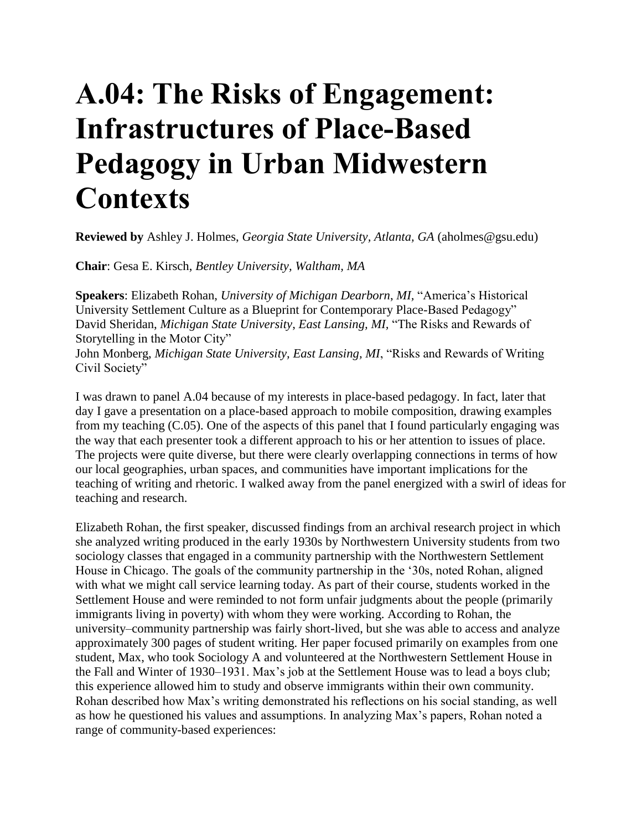# **A.04: The Risks of Engagement: Infrastructures of Place-Based Pedagogy in Urban Midwestern Contexts**

**Reviewed by** Ashley J. Holmes, *Georgia State University, Atlanta, GA* (aholmes@gsu.edu)

**Chair**: Gesa E. Kirsch, *Bentley University, Waltham, MA*

**Speakers**: Elizabeth Rohan, *University of Michigan Dearborn*, *MI,* "America's Historical University Settlement Culture as a Blueprint for Contemporary Place-Based Pedagogy" David Sheridan, *Michigan State University*, *East Lansing, MI,* "The Risks and Rewards of Storytelling in the Motor City" John Monberg, *Michigan State University, East Lansing, MI*, "Risks and Rewards of Writing Civil Society"

I was drawn to panel A.04 because of my interests in place-based pedagogy. In fact, later that day I gave a presentation on a place-based approach to mobile composition, drawing examples from my teaching (C.05). One of the aspects of this panel that I found particularly engaging was the way that each presenter took a different approach to his or her attention to issues of place. The projects were quite diverse, but there were clearly overlapping connections in terms of how our local geographies, urban spaces, and communities have important implications for the teaching of writing and rhetoric. I walked away from the panel energized with a swirl of ideas for teaching and research.

Elizabeth Rohan, the first speaker, discussed findings from an archival research project in which she analyzed writing produced in the early 1930s by Northwestern University students from two sociology classes that engaged in a community partnership with the Northwestern Settlement House in Chicago. The goals of the community partnership in the '30s, noted Rohan, aligned with what we might call service learning today. As part of their course, students worked in the Settlement House and were reminded to not form unfair judgments about the people (primarily immigrants living in poverty) with whom they were working. According to Rohan, the university–community partnership was fairly short-lived, but she was able to access and analyze approximately 300 pages of student writing. Her paper focused primarily on examples from one student, Max, who took Sociology A and volunteered at the Northwestern Settlement House in the Fall and Winter of 1930–1931. Max's job at the Settlement House was to lead a boys club; this experience allowed him to study and observe immigrants within their own community. Rohan described how Max's writing demonstrated his reflections on his social standing, as well as how he questioned his values and assumptions. In analyzing Max's papers, Rohan noted a range of community-based experiences: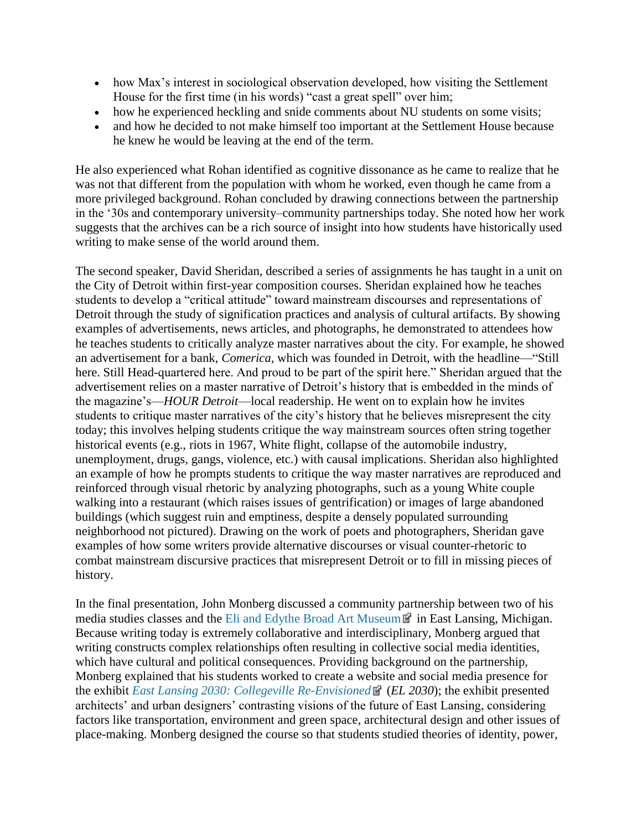- how Max's interest in sociological observation developed, how visiting the Settlement House for the first time (in his words) "cast a great spell" over him;
- how he experienced heckling and snide comments about NU students on some visits;
- and how he decided to not make himself too important at the Settlement House because he knew he would be leaving at the end of the term.

He also experienced what Rohan identified as cognitive dissonance as he came to realize that he was not that different from the population with whom he worked, even though he came from a more privileged background. Rohan concluded by drawing connections between the partnership in the '30s and contemporary university–community partnerships today. She noted how her work suggests that the archives can be a rich source of insight into how students have historically used writing to make sense of the world around them.

The second speaker, David Sheridan, described a series of assignments he has taught in a unit on the City of Detroit within first-year composition courses. Sheridan explained how he teaches students to develop a "critical attitude" toward mainstream discourses and representations of Detroit through the study of signification practices and analysis of cultural artifacts. By showing examples of advertisements, news articles, and photographs, he demonstrated to attendees how he teaches students to critically analyze master narratives about the city. For example, he showed an advertisement for a bank, *Comerica*, which was founded in Detroit, with the headline—"Still here. Still Head-quartered here. And proud to be part of the spirit here." Sheridan argued that the advertisement relies on a master narrative of Detroit's history that is embedded in the minds of the magazine's—*HOUR Detroit*—local readership. He went on to explain how he invites students to critique master narratives of the city's history that he believes misrepresent the city today; this involves helping students critique the way mainstream sources often string together historical events (e.g., riots in 1967, White flight, collapse of the automobile industry, unemployment, drugs, gangs, violence, etc.) with causal implications. Sheridan also highlighted an example of how he prompts students to critique the way master narratives are reproduced and reinforced through visual rhetoric by analyzing photographs, such as a young White couple walking into a restaurant (which raises issues of gentrification) or images of large abandoned buildings (which suggest ruin and emptiness, despite a densely populated surrounding neighborhood not pictured). Drawing on the work of poets and photographers, Sheridan gave examples of how some writers provide alternative discourses or visual counter-rhetoric to combat mainstream discursive practices that misrepresent Detroit or to fill in missing pieces of history.

In the final presentation, John Monberg discussed a community partnership between two of his media studies classes and the [Eli and Edythe Broad Art Museum](http://broadmuseum.msu.edu/) **in** in East Lansing, Michigan. Because writing today is extremely collaborative and interdisciplinary, Monberg argued that writing constructs complex relationships often resulting in collective social media identities, which have cultural and political consequences. Providing background on the partnership, Monberg explained that his students worked to create a website and social media presence for the exhibit *[East Lansing 2030: Collegeville Re-Envisioned](http://broadmuseum.msu.edu/exhibitions/east-lansing-2030-collegeville-re-envisioned)* (*EL 2030*); the exhibit presented architects' and urban designers' contrasting visions of the future of East Lansing, considering factors like transportation, environment and green space, architectural design and other issues of place-making. Monberg designed the course so that students studied theories of identity, power,